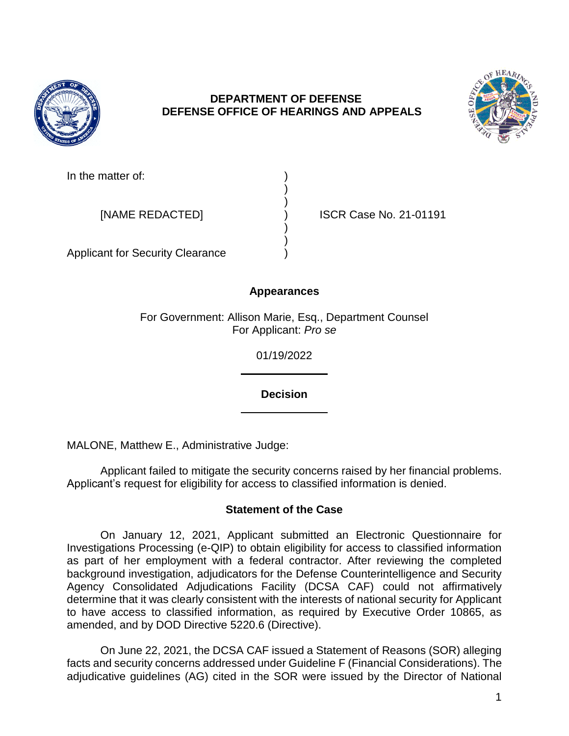

## **DEPARTMENT OF DEFENSE DEFENSE OFFICE OF HEARINGS AND APPEALS**

) )

) )



In the matter of:

[NAME REDACTED] ) ISCR Case No. 21-01191

Applicant for Security Clearance )

# **Appearances**

For Government: Allison Marie, Esq., Department Counsel For Applicant: *Pro se* 

01/19/2022

**Decision** 

MALONE, Matthew E., Administrative Judge:

 Applicant failed to mitigate the security concerns raised by her financial problems. Applicant's request for eligibility for access to classified information is denied.

## **Statement of the Case**

 On January 12, 2021, Applicant submitted an Electronic Questionnaire for Investigations Processing (e-QIP) to obtain eligibility for access to classified information as part of her employment with a federal contractor. After reviewing the completed background investigation, adjudicators for the Defense Counterintelligence and Security Agency Consolidated Adjudications Facility (DCSA CAF) could not affirmatively determine that it was clearly consistent with the interests of national security for Applicant to have access to classified information, as required by Executive Order 10865, as amended, and by DOD Directive 5220.6 (Directive).

 On June 22, 2021, the DCSA CAF issued a Statement of Reasons (SOR) alleging adjudicative guidelines (AG) cited in the SOR were issued by the Director of National facts and security concerns addressed under Guideline F (Financial Considerations). The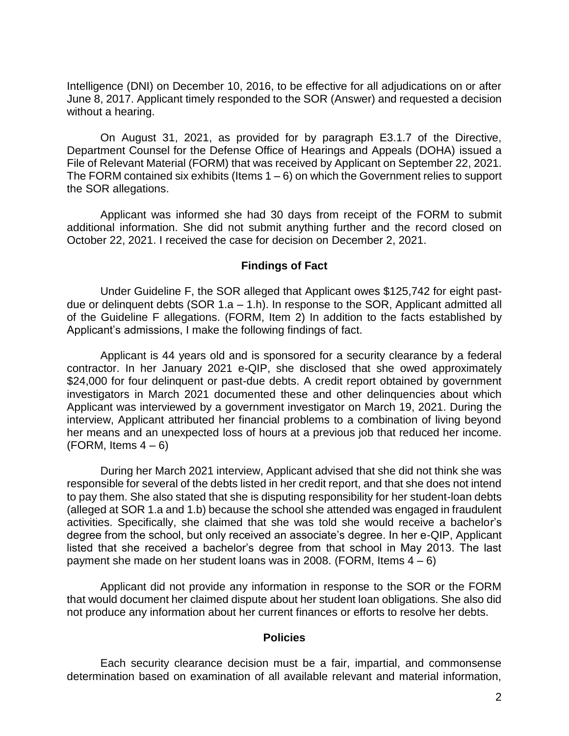Intelligence (DNI) on December 10, 2016, to be effective for all adjudications on or after June 8, 2017. Applicant timely responded to the SOR (Answer) and requested a decision without a hearing.

 On August 31, 2021, as provided for by paragraph E3.1.7 of the Directive, Department Counsel for the Defense Office of Hearings and Appeals (DOHA) issued a The FORM contained six exhibits (Items  $1-6$ ) on which the Government relies to support File of Relevant Material (FORM) that was received by Applicant on September 22, 2021. the SOR allegations.

 Applicant was informed she had 30 days from receipt of the FORM to submit additional information. She did not submit anything further and the record closed on October 22, 2021. I received the case for decision on December 2, 2021.

#### **Findings of Fact**

 Under Guideline F, the SOR alleged that Applicant owes \$125,742 for eight past- due or delinquent debts (SOR 1.a – 1.h). In response to the SOR, Applicant admitted all of the Guideline F allegations. (FORM, Item 2) In addition to the facts established by Applicant's admissions, I make the following findings of fact.

 Applicant is 44 years old and is sponsored for a security clearance by a federal contractor. In her January 2021 e-QIP, she disclosed that she owed approximately \$24,000 for four delinquent or past-due debts. A credit report obtained by government investigators in March 2021 documented these and other delinquencies about which Applicant was interviewed by a government investigator on March 19, 2021. During the interview, Applicant attributed her financial problems to a combination of living beyond her means and an unexpected loss of hours at a previous job that reduced her income. (FORM, Items  $4-6$ )

 During her March 2021 interview, Applicant advised that she did not think she was responsible for several of the debts listed in her credit report, and that she does not intend to pay them. She also stated that she is disputing responsibility for her student-loan debts (alleged at SOR 1.a and 1.b) because the school she attended was engaged in fraudulent activities. Specifically, she claimed that she was told she would receive a bachelor's degree from the school, but only received an associate's degree. In her e-QIP, Applicant listed that she received a bachelor's degree from that school in May 2013. The last payment she made on her student loans was in 2008. (FORM, Items  $4-6$ )

 Applicant did not provide any information in response to the SOR or the FORM that would document her claimed dispute about her student loan obligations. She also did not produce any information about her current finances or efforts to resolve her debts.

#### **Policies**

 Each security clearance decision must be a fair, impartial, and commonsense determination based on examination of all available relevant and material information,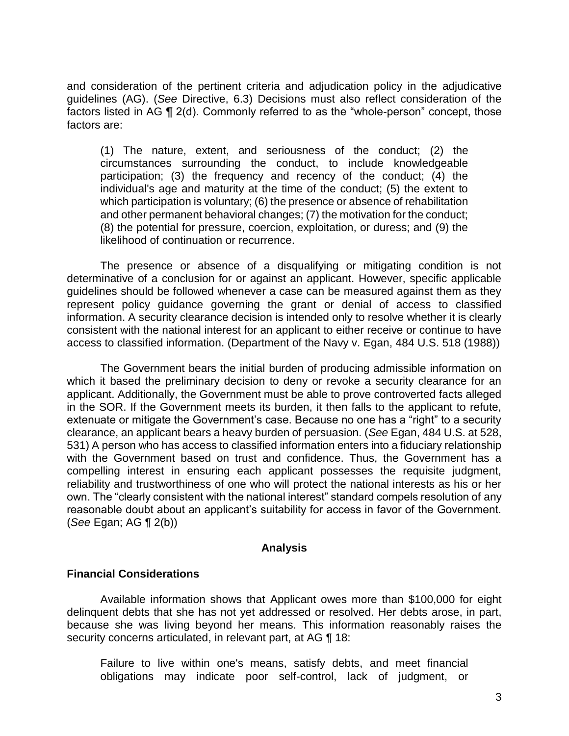and consideration of the pertinent criteria and adjudication policy in the adjudicative guidelines (AG). (*See* Directive, 6.3) Decisions must also reflect consideration of the factors listed in AG ¶ 2(d). Commonly referred to as the "whole-person" concept, those factors are:

 (1) The nature, extent, and seriousness of the conduct; (2) the circumstances surrounding the conduct, to include knowledgeable participation; (3) the frequency and recency of the conduct; (4) the individual's age and maturity at the time of the conduct; (5) the extent to which participation is voluntary; (6) the presence or absence of rehabilitation and other permanent behavioral changes; (7) the motivation for the conduct; (8) the potential for pressure, coercion, exploitation, or duress; and (9) the likelihood of continuation or recurrence.

 The presence or absence of a disqualifying or mitigating condition is not determinative of a conclusion for or against an applicant. However, specific applicable guidelines should be followed whenever a case can be measured against them as they represent policy guidance governing the grant or denial of access to classified information. A security clearance decision is intended only to resolve whether it is clearly consistent with the national interest for an applicant to either receive or continue to have access to classified information. (Department of the Navy v. Egan, 484 U.S. 518 (1988))

The Government bears the initial burden of producing admissible information on which it based the preliminary decision to deny or revoke a security clearance for an applicant. Additionally, the Government must be able to prove controverted facts alleged in the SOR. If the Government meets its burden, it then falls to the applicant to refute, extenuate or mitigate the Government's case. Because no one has a "right" to a security clearance, an applicant bears a heavy burden of persuasion. (*See* Egan, 484 U.S. at 528, 531) A person who has access to classified information enters into a fiduciary relationship with the Government based on trust and confidence. Thus, the Government has a compelling interest in ensuring each applicant possesses the requisite judgment, reliability and trustworthiness of one who will protect the national interests as his or her own. The "clearly consistent with the national interest" standard compels resolution of any reasonable doubt about an applicant's suitability for access in favor of the Government. (*See* Egan; AG ¶ 2(b))

### **Analysis**

### **Financial Considerations**

 Available information shows that Applicant owes more than \$100,000 for eight delinquent debts that she has not yet addressed or resolved. Her debts arose, in part, because she was living beyond her means. This information reasonably raises the security concerns articulated, in relevant part, at AG 18:

Failure to live within one's means, satisfy debts, and meet financial obligations may indicate poor self-control, lack of judgment, or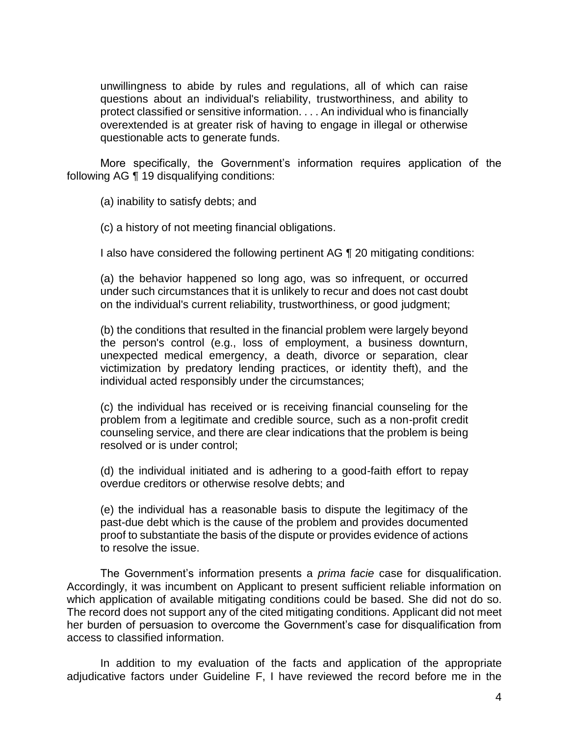unwillingness to abide by rules and regulations, all of which can raise questions about an individual's reliability, trustworthiness, and ability to protect classified or sensitive information. . . . An individual who is financially overextended is at greater risk of having to engage in illegal or otherwise questionable acts to generate funds.

More specifically, the Government's information requires application of the following AG ¶ 19 disqualifying conditions:

(a) inability to satisfy debts; and

(c) a history of not meeting financial obligations.

I also have considered the following pertinent AG ¶ 20 mitigating conditions:

(a) the behavior happened so long ago, was so infrequent, or occurred under such circumstances that it is unlikely to recur and does not cast doubt on the individual's current reliability, trustworthiness, or good judgment;

(b) the conditions that resulted in the financial problem were largely beyond the person's control (e.g., loss of employment, a business downturn, unexpected medical emergency, a death, divorce or separation, clear victimization by predatory lending practices, or identity theft), and the individual acted responsibly under the circumstances;

(c) the individual has received or is receiving financial counseling for the problem from a legitimate and credible source, such as a non-profit credit counseling service, and there are clear indications that the problem is being resolved or is under control;

(d) the individual initiated and is adhering to a good-faith effort to repay overdue creditors or otherwise resolve debts; and

 (e) the individual has a reasonable basis to dispute the legitimacy of the proof to substantiate the basis of the dispute or provides evidence of actions past-due debt which is the cause of the problem and provides documented to resolve the issue.

 The Government's information presents a *prima facie* case for disqualification. Accordingly, it was incumbent on Applicant to present sufficient reliable information on which application of available mitigating conditions could be based. She did not do so. The record does not support any of the cited mitigating conditions. Applicant did not meet her burden of persuasion to overcome the Government's case for disqualification from access to classified information.

 In addition to my evaluation of the facts and application of the appropriate adjudicative factors under Guideline F, I have reviewed the record before me in the